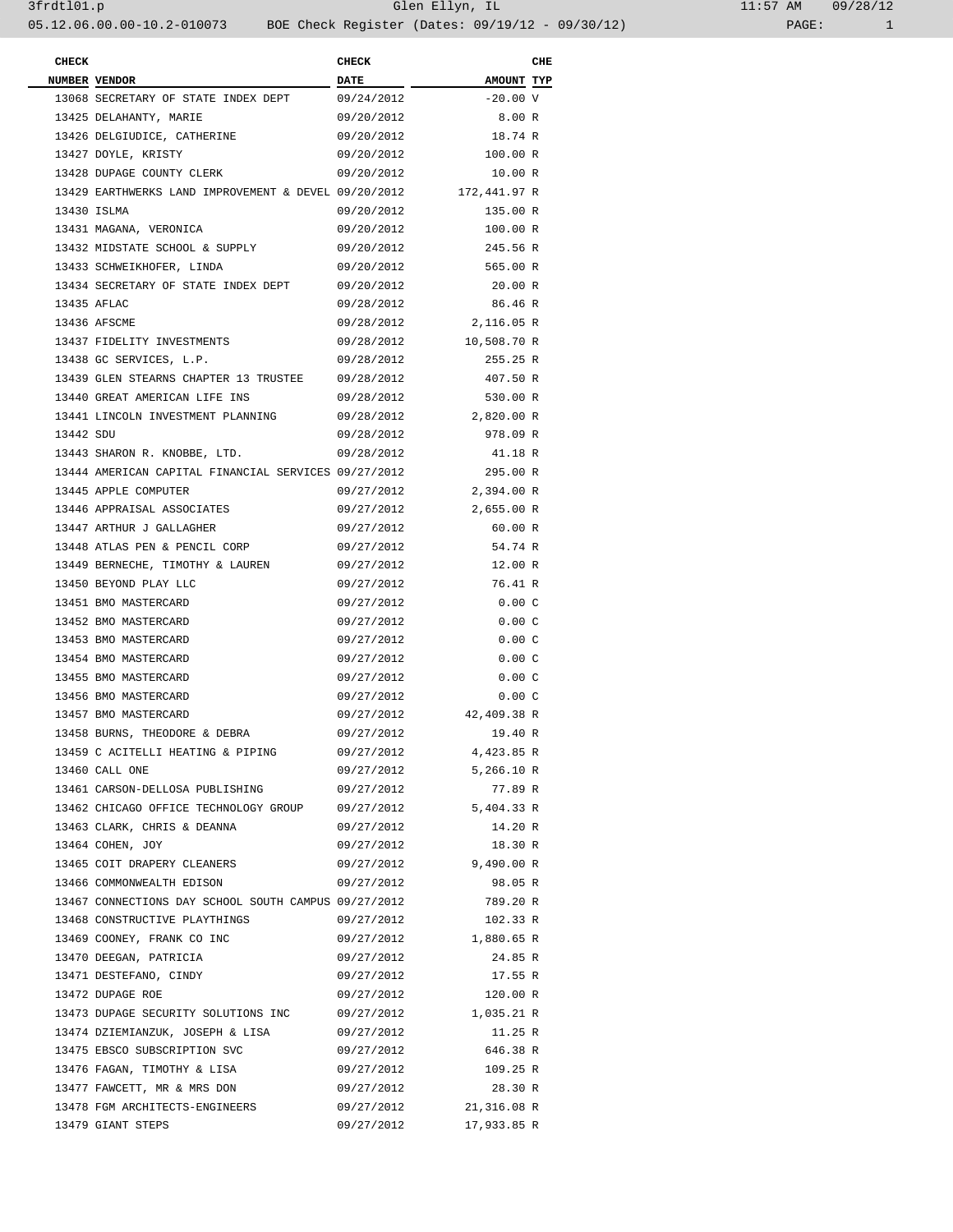| <b>CHECK</b> |                                                      | <b>CHECK</b> |                    | CHE |
|--------------|------------------------------------------------------|--------------|--------------------|-----|
|              | NUMBER VENDOR                                        |              | <b>AMOUNT TYP</b>  |     |
|              | 13068 SECRETARY OF STATE INDEX DEPT                  | 09/24/2012   | $-20.00 \text{ V}$ |     |
|              | 13425 DELAHANTY, MARIE                               | 09/20/2012   | 8.00 R             |     |
|              | 13426 DELGIUDICE, CATHERINE                          | 09/20/2012   | 18.74 R            |     |
|              | 13427 DOYLE, KRISTY                                  | 09/20/2012   | 100.00 R           |     |
|              | 13428 DUPAGE COUNTY CLERK                            | 09/20/2012   | 10.00 R            |     |
|              | 13429 EARTHWERKS LAND IMPROVEMENT & DEVEL 09/20/2012 |              | 172,441.97 R       |     |
|              | 13430 ISLMA                                          | 09/20/2012   | 135.00 R           |     |
|              | 13431 MAGANA, VERONICA                               | 09/20/2012   | 100.00 R           |     |
|              | 13432 MIDSTATE SCHOOL & SUPPLY                       | 09/20/2012   | 245.56 R           |     |
|              | 13433 SCHWEIKHOFER, LINDA                            | 09/20/2012   | 565.00 R           |     |
|              | 13434 SECRETARY OF STATE INDEX DEPT                  | 09/20/2012   | 20.00 R            |     |
|              |                                                      |              |                    |     |
|              | 13435 AFLAC                                          | 09/28/2012   | 86.46 R            |     |
|              | 13436 AFSCME                                         | 09/28/2012   | 2,116.05 R         |     |
|              | 13437 FIDELITY INVESTMENTS                           | 09/28/2012   | 10,508.70 R        |     |
|              | 13438 GC SERVICES, L.P.                              | 09/28/2012   | 255.25 R           |     |
|              | 13439 GLEN STEARNS CHAPTER 13 TRUSTEE                | 09/28/2012   | 407.50 R           |     |
|              | 13440 GREAT AMERICAN LIFE INS                        | 09/28/2012   | 530.00 R           |     |
|              | 13441 LINCOLN INVESTMENT PLANNING                    | 09/28/2012   | 2,820.00 R         |     |
| 13442 SDU    |                                                      | 09/28/2012   | 978.09 R           |     |
|              | 13443 SHARON R. KNOBBE, LTD.                         | 09/28/2012   | 41.18 R            |     |
|              | 13444 AMERICAN CAPITAL FINANCIAL SERVICES 09/27/2012 |              | 295.00 R           |     |
|              | 13445 APPLE COMPUTER                                 | 09/27/2012   | 2,394.00 R         |     |
|              | 13446 APPRAISAL ASSOCIATES                           | 09/27/2012   | 2,655.00 R         |     |
|              | 13447 ARTHUR J GALLAGHER                             | 09/27/2012   | 60.00 R            |     |
|              | 13448 ATLAS PEN & PENCIL CORP                        | 09/27/2012   | 54.74 R            |     |
|              | 13449 BERNECHE, TIMOTHY & LAUREN                     | 09/27/2012   | 12.00 R            |     |
|              | 13450 BEYOND PLAY LLC                                | 09/27/2012   | 76.41 R            |     |
|              | 13451 BMO MASTERCARD                                 | 09/27/2012   | 0.00C              |     |
|              | 13452 BMO MASTERCARD                                 | 09/27/2012   | 0.00C              |     |
|              | 13453 BMO MASTERCARD                                 | 09/27/2012   | 0.00C              |     |
|              | 13454 BMO MASTERCARD                                 | 09/27/2012   | 0.00C              |     |
|              | 13455 BMO MASTERCARD                                 | 09/27/2012   | 0.00C              |     |
|              | 13456 BMO MASTERCARD                                 | 09/27/2012   | 0.00C              |     |
|              | 13457 BMO MASTERCARD                                 | 09/27/2012   | 42,409.38 R        |     |
|              | 13458 BURNS, THEODORE & DEBRA                        | 09/27/2012   | 19.40 R            |     |
|              |                                                      | 09/27/2012   |                    |     |
|              | 13459 C ACITELLI HEATING & PIPING                    |              | 4,423.85 R         |     |
|              | 13460 CALL ONE                                       | 09/27/2012   | 5,266.10 R         |     |
|              | 13461 CARSON-DELLOSA PUBLISHING                      | 09/27/2012   | 77.89 R            |     |
|              | 13462 CHICAGO OFFICE TECHNOLOGY GROUP                | 09/27/2012   | 5,404.33 R         |     |
|              | 13463 CLARK, CHRIS & DEANNA                          | 09/27/2012   | 14.20 R            |     |
|              | 13464 COHEN, JOY                                     | 09/27/2012   | 18.30 R            |     |
|              | 13465 COIT DRAPERY CLEANERS                          | 09/27/2012   | 9,490.00 R         |     |
|              | 13466 COMMONWEALTH EDISON                            | 09/27/2012   | 98.05 R            |     |
|              | 13467 CONNECTIONS DAY SCHOOL SOUTH CAMPUS 09/27/2012 |              | 789.20 R           |     |
|              | 13468 CONSTRUCTIVE PLAYTHINGS                        | 09/27/2012   | 102.33 R           |     |
|              | 13469 COONEY, FRANK CO INC                           | 09/27/2012   | 1,880.65 R         |     |
|              | 13470 DEEGAN, PATRICIA                               | 09/27/2012   | 24.85 R            |     |
|              | 13471 DESTEFANO, CINDY                               | 09/27/2012   | 17.55 R            |     |
|              | 13472 DUPAGE ROE                                     | 09/27/2012   | 120.00 R           |     |
|              | 13473 DUPAGE SECURITY SOLUTIONS INC                  | 09/27/2012   | 1,035.21 R         |     |
|              | 13474 DZIEMIANZUK, JOSEPH & LISA                     | 09/27/2012   | 11.25 R            |     |
|              | 13475 EBSCO SUBSCRIPTION SVC                         | 09/27/2012   | 646.38 R           |     |
|              | 13476 FAGAN, TIMOTHY & LISA                          | 09/27/2012   | 109.25 R           |     |
|              | 13477 FAWCETT, MR & MRS DON                          | 09/27/2012   | 28.30 R            |     |
|              | 13478 FGM ARCHITECTS-ENGINEERS                       | 09/27/2012   | 21,316.08 R        |     |
|              | 13479 GIANT STEPS                                    | 09/27/2012   | 17,933.85 R        |     |
|              |                                                      |              |                    |     |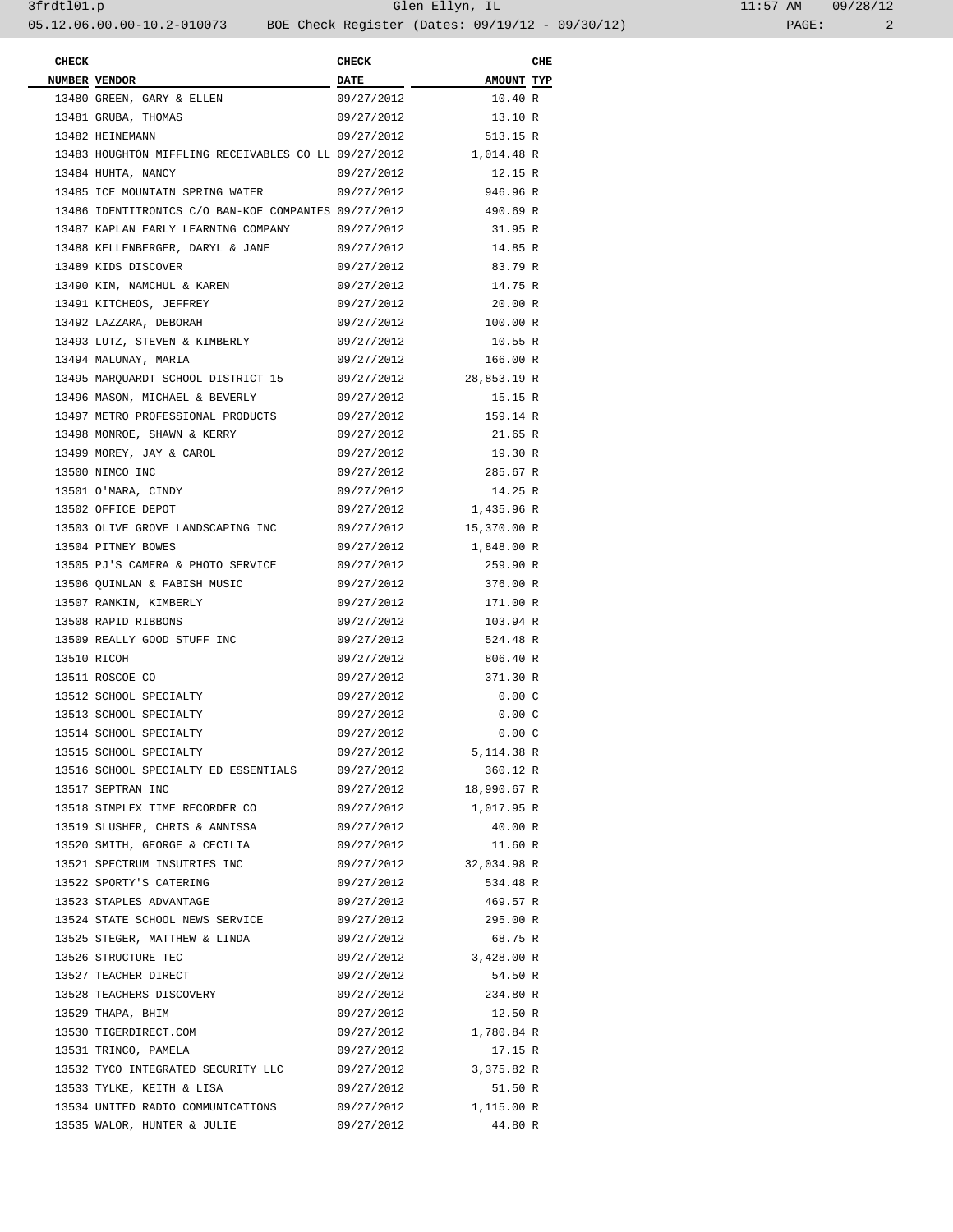| <b>CHECK</b> |                                                      | <b>CHECK</b> |             | CHE |
|--------------|------------------------------------------------------|--------------|-------------|-----|
|              | NUMBER VENDOR                                        | <b>DATE</b>  | AMOUNT TYP  |     |
|              | 13480 GREEN, GARY & ELLEN                            | 09/27/2012   | 10.40 R     |     |
|              | 13481 GRUBA, THOMAS                                  | 09/27/2012   | 13.10 R     |     |
|              | 13482 HEINEMANN                                      | 09/27/2012   | 513.15 R    |     |
|              | 13483 HOUGHTON MIFFLING RECEIVABLES CO LL 09/27/2012 |              | 1,014.48 R  |     |
|              | 13484 HUHTA, NANCY                                   | 09/27/2012   | 12.15 R     |     |
|              | 13485 ICE MOUNTAIN SPRING WATER                      | 09/27/2012   | 946.96 R    |     |
|              | 13486 IDENTITRONICS C/O BAN-KOE COMPANIES 09/27/2012 |              | 490.69 R    |     |
|              | 13487 KAPLAN EARLY LEARNING COMPANY                  | 09/27/2012   | 31.95 R     |     |
|              | 13488 KELLENBERGER, DARYL & JANE                     | 09/27/2012   | 14.85 R     |     |
|              | 13489 KIDS DISCOVER                                  | 09/27/2012   | 83.79 R     |     |
|              | 13490 KIM, NAMCHUL & KAREN                           | 09/27/2012   | 14.75 R     |     |
|              | 13491 KITCHEOS, JEFFREY                              | 09/27/2012   | 20.00 R     |     |
|              | 13492 LAZZARA, DEBORAH                               | 09/27/2012   | 100.00 R    |     |
|              | 13493 LUTZ, STEVEN & KIMBERLY                        | 09/27/2012   | 10.55 R     |     |
|              | 13494 MALUNAY, MARIA                                 | 09/27/2012   | 166.00 R    |     |
|              | 13495 MARQUARDT SCHOOL DISTRICT 15                   | 09/27/2012   | 28,853.19 R |     |
|              | 13496 MASON, MICHAEL & BEVERLY                       | 09/27/2012   | 15.15 R     |     |
|              | 13497 METRO PROFESSIONAL PRODUCTS                    | 09/27/2012   | 159.14 R    |     |
|              | 13498 MONROE, SHAWN & KERRY                          | 09/27/2012   | 21.65 R     |     |
|              | 13499 MOREY, JAY & CAROL                             | 09/27/2012   | 19.30 R     |     |
|              |                                                      | 09/27/2012   |             |     |
|              | 13500 NIMCO INC                                      |              | 285.67 R    |     |
|              | 13501 O'MARA, CINDY                                  | 09/27/2012   | 14.25 R     |     |
|              | 13502 OFFICE DEPOT                                   | 09/27/2012   | 1,435.96 R  |     |
|              | 13503 OLIVE GROVE LANDSCAPING INC                    | 09/27/2012   | 15,370.00 R |     |
|              | 13504 PITNEY BOWES                                   | 09/27/2012   | 1,848.00 R  |     |
|              | 13505 PJ'S CAMERA & PHOTO SERVICE                    | 09/27/2012   | 259.90 R    |     |
|              | 13506 QUINLAN & FABISH MUSIC                         | 09/27/2012   | 376.00 R    |     |
|              | 13507 RANKIN, KIMBERLY                               | 09/27/2012   | 171.00 R    |     |
|              | 13508 RAPID RIBBONS                                  | 09/27/2012   | 103.94 R    |     |
|              | 13509 REALLY GOOD STUFF INC                          | 09/27/2012   | 524.48 R    |     |
|              | 13510 RICOH                                          | 09/27/2012   | 806.40 R    |     |
|              | 13511 ROSCOE CO                                      | 09/27/2012   | 371.30 R    |     |
|              | 13512 SCHOOL SPECIALTY                               | 09/27/2012   | 0.00C       |     |
|              | 13513 SCHOOL SPECIALTY                               | 09/27/2012   | 0.00C       |     |
|              | 13514 SCHOOL SPECIALTY                               | 09/27/2012   | 0.00C       |     |
|              | 13515 SCHOOL SPECIALTY                               | 09/27/2012   | 5,114.38 R  |     |
|              | 13516 SCHOOL SPECIALTY ED ESSENTIALS                 | 09/27/2012   | 360.12 R    |     |
|              | 13517 SEPTRAN INC                                    | 09/27/2012   | 18,990.67 R |     |
|              | 13518 SIMPLEX TIME RECORDER CO                       | 09/27/2012   | 1,017.95 R  |     |
|              | 13519 SLUSHER, CHRIS & ANNISSA                       | 09/27/2012   | 40.00 R     |     |
|              | 13520 SMITH, GEORGE & CECILIA                        | 09/27/2012   | 11.60 R     |     |
|              | 13521 SPECTRUM INSUTRIES INC                         | 09/27/2012   | 32,034.98 R |     |
|              | 13522 SPORTY'S CATERING                              | 09/27/2012   | 534.48 R    |     |
|              | 13523 STAPLES ADVANTAGE                              | 09/27/2012   | 469.57 R    |     |
|              | 13524 STATE SCHOOL NEWS SERVICE                      | 09/27/2012   | 295.00 R    |     |
|              | 13525 STEGER, MATTHEW & LINDA                        | 09/27/2012   | 68.75 R     |     |
|              | 13526 STRUCTURE TEC                                  | 09/27/2012   | 3,428.00 R  |     |
|              | 13527 TEACHER DIRECT                                 | 09/27/2012   | 54.50 R     |     |
|              | 13528 TEACHERS DISCOVERY                             | 09/27/2012   | 234.80 R    |     |
|              | 13529 THAPA, BHIM                                    | 09/27/2012   | 12.50 R     |     |
|              | 13530 TIGERDIRECT.COM                                | 09/27/2012   | 1,780.84 R  |     |
|              | 13531 TRINCO, PAMELA                                 | 09/27/2012   | 17.15 R     |     |
|              | 13532 TYCO INTEGRATED SECURITY LLC                   | 09/27/2012   | 3,375.82 R  |     |
|              | 13533 TYLKE, KEITH & LISA                            | 09/27/2012   | 51.50 R     |     |
|              | 13534 UNITED RADIO COMMUNICATIONS                    | 09/27/2012   | 1,115.00 R  |     |
|              | 13535 WALOR, HUNTER & JULIE                          | 09/27/2012   | 44.80 R     |     |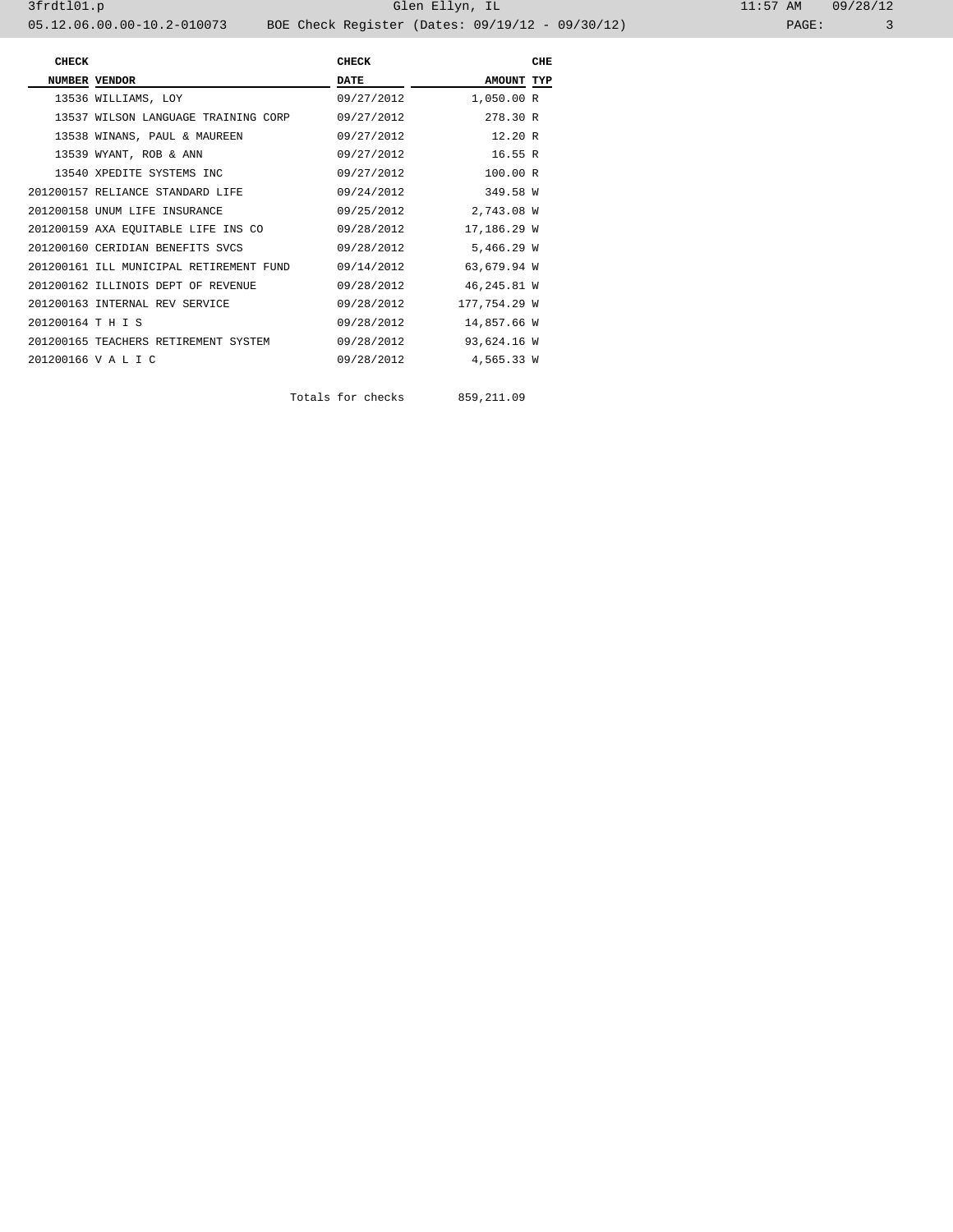3frdtl01.p Glen Ellyn, IL 11:57 AM 09/28/12

05.12.06.00.00-10.2-010073 BOE Check Register (Dates: 09/19/12 - 09/30/12) PAGE: 3 **CHECK CHECK** CHECK CHECK CHECK **NUMBER VENDOR DATE DATE AMOUNT TYP** 13536 WILLIAMS, LOY 09/27/2012 1,050.00 R 13537 WILSON LANGUAGE TRAINING CORP 09/27/2012 278.30 R 13538 WINANS, PAUL & MAUREEN 09/27/2012 12.20 R 13539 WYANT, ROB & ANN 09/27/2012 16.55 R 13540 XPEDITE SYSTEMS INC <br>200157 RELIANCE STANDARD LIFE <br>200157 RELIANCE STANDARD LIFE <br>200157 09/24/2012 <br>249.58 W 201200157 RELIANCE STANDARD LIFE 09/24/2012 349.58 W 201200158 UNUM LIFE INSURANCE 09/25/2012 2,743.08 W

201200159 AXA EQUITABLE LIFE INS CO<br>201200160 CERIDIAN BENEFITS SVCS 09/28/2012 5,466.29 W 201200160 CERIDIAN BENEFITS SVCS 09/28/2012 5,466.29 W 201200161 ILL MUNICIPAL RETIREMENT FUND 09/14/2012 63,679.94 W 201200162 ILLINOIS DEPT OF REVENUE 09/28/2012 46,245.81 W 201200163 INTERNAL REV SERVICE 09/28/2012 177,754.29 W 201200164 T H I S 09/28/2012 14,857.66 W 201200165 TEACHERS RETIREMENT SYSTEM 09/28/2012 93,624.16 W 201200166 V A L I C 09/28/2012 4,565.33 W

Totals for checks 859,211.09